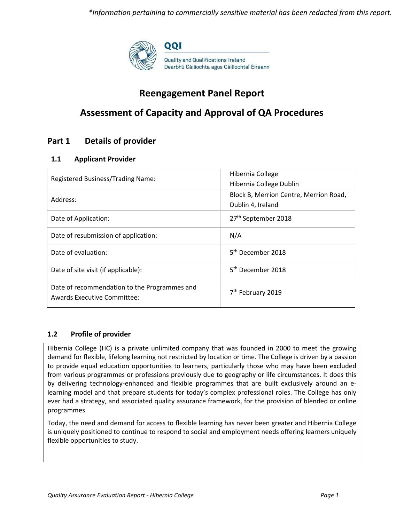

# **Reengagement Panel Report**

# **Assessment of Capacity and Approval of QA Procedures**

# **Part 1 Details of provider**

### **1.1 Applicant Provider**

| Registered Business/Trading Name:                                                  | Hibernia College<br>Hibernia College Dublin                 |
|------------------------------------------------------------------------------------|-------------------------------------------------------------|
| Address:                                                                           | Block B, Merrion Centre, Merrion Road,<br>Dublin 4, Ireland |
| Date of Application:                                                               | 27 <sup>th</sup> September 2018                             |
| Date of resubmission of application:                                               | N/A                                                         |
| Date of evaluation:                                                                | 5 <sup>th</sup> December 2018                               |
| Date of site visit (if applicable):                                                | 5 <sup>th</sup> December 2018                               |
| Date of recommendation to the Programmes and<br><b>Awards Executive Committee:</b> | 7 <sup>th</sup> February 2019                               |

#### **1.2 Profile of provider**

Hibernia College (HC) is a private unlimited company that was founded in 2000 to meet the growing demand for flexible, lifelong learning not restricted by location or time. The College is driven by a passion to provide equal education opportunities to learners, particularly those who may have been excluded from various programmes or professions previously due to geography or life circumstances. It does this by delivering technology-enhanced and flexible programmes that are built exclusively around an elearning model and that prepare students for today's complex professional roles. The College has only ever had a strategy, and associated quality assurance framework, for the provision of blended or online programmes.

Today, the need and demand for access to flexible learning has never been greater and Hibernia College is uniquely positioned to continue to respond to social and employment needs offering learners uniquely flexible opportunities to study.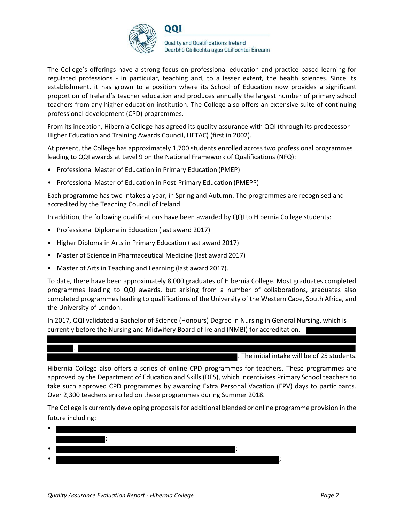

The College's offerings have a strong focus on professional education and practice-based learning for regulated professions - in particular, teaching and, to a lesser extent, the health sciences. Since its establishment, it has grown to a position where its School of Education now provides a significant proportion of Ireland's teacher education and produces annually the largest number of primary school teachers from any higher education institution. The College also offers an extensive suite of continuing professional development (CPD) programmes.

From its inception, Hibernia College has agreed its quality assurance with QQI (through its predecessor Higher Education and Training Awards Council, HETAC) (first in 2002).

At present, the College has approximately 1,700 students enrolled across two professional programmes leading to QQI awards at Level 9 on the National Framework of Qualifications (NFQ):

- Professional Master of Education in Primary Education (PMEP)
- Professional Master of Education in Post-Primary Education (PMEPP)

Each programme has two intakes a year, in Spring and Autumn. The programmes are recognised and accredited by the Teaching Council of Ireland.

In addition, the following qualifications have been awarded by QQI to Hibernia College students:

- Professional Diploma in Education (last award 2017)
- Higher Diploma in Arts in Primary Education (last award 2017)
- Master of Science in Pharmaceutical Medicine (last award 2017)
- Master of Arts in Teaching and Learning (last award 2017).

To date, there have been approximately 8,000 graduates of Hibernia College. Most graduates completed programmes leading to QQI awards, but arising from a number of collaborations, graduates also completed programmes leading to qualifications of the University of the Western Cape, South Africa, and the University of London.

In 2017, QQI validated a Bachelor of Science (Honours) Degree in Nursing in General Nursing, which is currently before the Nursing and Midwifery Board of Ireland (NMBI) for accreditation.

. The initial intake will be of 25 students.

Hibernia College also offers a series of online CPD programmes for teachers. These programmes are approved by the Department of Education and Skills (DES), which incentivises Primary School teachers to take such approved CPD programmes by awarding Extra Personal Vacation (EPV) days to participants. Over 2,300 teachers enrolled on these programmes during Summer 2018.

The College is currently developing proposalsfor additional blended or online programme provision in the future including:

.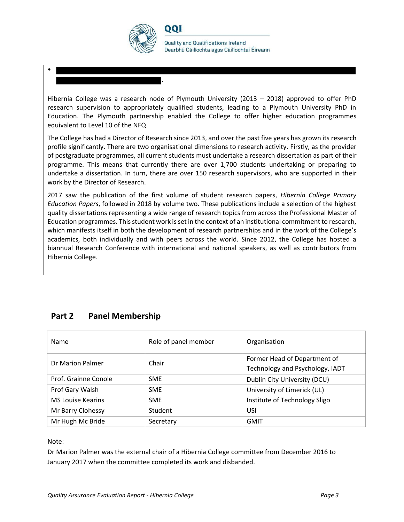

.

001

**Quality and Qualifications Ireland** Dearbhú Cáilíochta agus Cáilíochtaí Éireann

Hibernia College was a research node of Plymouth University (2013 – 2018) approved to offer PhD research supervision to appropriately qualified students, leading to a Plymouth University PhD in Education. The Plymouth partnership enabled the College to offer higher education programmes equivalent to Level 10 of the NFQ.

The College has had a Director of Research since 2013, and over the past five years has grown its research profile significantly. There are two organisational dimensions to research activity. Firstly, as the provider of postgraduate programmes, all current students must undertake a research dissertation as part of their programme. This means that currently there are over 1,700 students undertaking or preparing to undertake a dissertation. In turn, there are over 150 research supervisors, who are supported in their work by the Director of Research.

2017 saw the publication of the first volume of student research papers, *Hibernia College Primary Education Papers*, followed in 2018 by volume two. These publications include a selection of the highest quality dissertations representing a wide range of research topics from across the Professional Master of Education programmes. This student work is set in the context of an institutional commitment to research, which manifests itself in both the development of research partnerships and in the work of the College's academics, both individually and with peers across the world. Since 2012, the College has hosted a biannual Research Conference with international and national speakers, as well as contributors from Hibernia College.

# **Part 2 Panel Membership**

| Name                     | Role of panel member | Organisation                    |
|--------------------------|----------------------|---------------------------------|
| Dr Marion Palmer         | Chair                | Former Head of Department of    |
|                          |                      | Technology and Psychology, IADT |
| Prof. Grainne Conole     | <b>SME</b>           | Dublin City University (DCU)    |
| Prof Gary Walsh          | <b>SME</b>           | University of Limerick (UL)     |
| <b>MS Louise Kearins</b> | <b>SME</b>           | Institute of Technology Sligo   |
| Mr Barry Clohessy        | Student              | USI                             |
| Mr Hugh Mc Bride         | Secretary            | <b>GMIT</b>                     |

Note:

•

Dr Marion Palmer was the external chair of a Hibernia College committee from December 2016 to January 2017 when the committee completed its work and disbanded.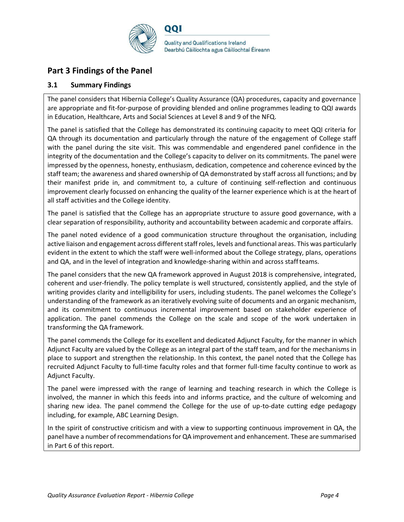

# **Part 3 Findings of the Panel**

### **3.1 Summary Findings**

The panel considers that Hibernia College's Quality Assurance (QA) procedures, capacity and governance are appropriate and fit-for-purpose of providing blended and online programmes leading to QQI awards in Education, Healthcare, Arts and Social Sciences at Level 8 and 9 of the NFQ.

The panel is satisfied that the College has demonstrated its continuing capacity to meet QQI criteria for QA through its documentation and particularly through the nature of the engagement of College staff with the panel during the site visit. This was commendable and engendered panel confidence in the integrity of the documentation and the College's capacity to deliver on its commitments. The panel were impressed by the openness, honesty, enthusiasm, dedication, competence and coherence evinced by the staff team; the awareness and shared ownership of QA demonstrated by staff across all functions; and by their manifest pride in, and commitment to, a culture of continuing self-reflection and continuous improvement clearly focussed on enhancing the quality of the learner experience which is at the heart of all staff activities and the College identity.

The panel is satisfied that the College has an appropriate structure to assure good governance, with a clear separation of responsibility, authority and accountability between academic and corporate affairs.

The panel noted evidence of a good communication structure throughout the organisation, including active liaison and engagement across different staff roles, levels and functional areas. This was particularly evident in the extent to which the staff were well-informed about the College strategy, plans, operations and QA, and in the level of integration and knowledge-sharing within and across staffteams.

The panel considers that the new QA framework approved in August 2018 is comprehensive, integrated, coherent and user-friendly. The policy template is well structured, consistently applied, and the style of writing provides clarity and intelligibility for users, including students. The panel welcomes the College's understanding of the framework as an iteratively evolving suite of documents and an organic mechanism, and its commitment to continuous incremental improvement based on stakeholder experience of application. The panel commends the College on the scale and scope of the work undertaken in transforming the QA framework.

The panel commends the College for its excellent and dedicated Adjunct Faculty, for the manner in which Adjunct Faculty are valued by the College as an integral part of the staff team, and for the mechanisms in place to support and strengthen the relationship. In this context, the panel noted that the College has recruited Adjunct Faculty to full-time faculty roles and that former full-time faculty continue to work as Adjunct Faculty.

The panel were impressed with the range of learning and teaching research in which the College is involved, the manner in which this feeds into and informs practice, and the culture of welcoming and sharing new idea. The panel commend the College for the use of up-to-date cutting edge pedagogy including, for example, ABC Learning Design.

In the spirit of constructive criticism and with a view to supporting continuous improvement in QA, the panel have a number of recommendations for QA improvement and enhancement. These are summarised in Part 6 of this report.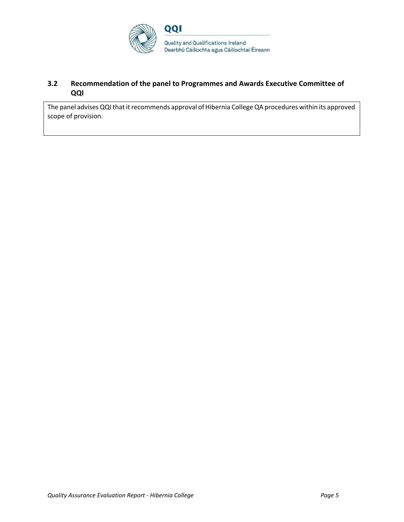

## **3.2 Recommendation of the panel to Programmes and Awards Executive Committee of QQI**

The panel advises QQI that it recommends approval of Hibernia College QA procedures within its approved scope of provision.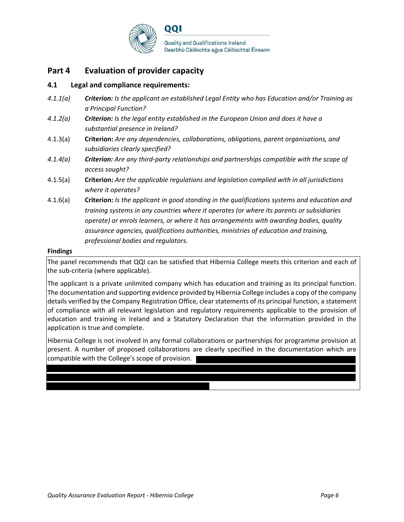

# **Part 4 Evaluation of provider capacity**

#### **4.1 Legal and compliance requirements:**

- *4.1.1(a) Criterion: Is the applicant an established Legal Entity who has Education and/or Training as a Principal Function?*
- *4.1.2(a) Criterion: Is the legal entity established in the European Union and does it have a substantial presence in Ireland?*
- 4.1.3(a) **Criterion:** *Are any dependencies, collaborations, obligations, parent organisations, and subsidiaries clearly specified?*
- *4.1.4(a) Criterion: Are any third-party relationships and partnerships compatible with the scope of access sought?*
- 4.1.5(a) **Criterion:** *Are the applicable regulations and legislation complied with in all jurisdictions where it operates?*
- 4.1.6(a) **Criterion:** *Is the applicant in good standing in the qualifications systems and education and training systems in any countries where it operates (or where its parents or subsidiaries operate) or enrols learners, or where it has arrangements with awarding bodies, quality assurance agencies, qualifications authorities, ministries of education and training, professional bodies and regulators.*

#### **Findings**

The panel recommends that QQI can be satisfied that Hibernia College meets this criterion and each of the sub-criteria (where applicable).

The applicant is a private unlimited company which has education and training as its principal function. The documentation and supporting evidence provided by Hibernia College includes a copy of the company details verified by the Company Registration Office, clear statements of its principal function, a statement of compliance with all relevant legislation and regulatory requirements applicable to the provision of education and training in Ireland and a Statutory Declaration that the information provided in the application is true and complete.

Hibernia College is not involved in any formal collaborations or partnerships for programme provision at present. A number of proposed collaborations are clearly specified in the documentation which are compatible with the College's scope of provision.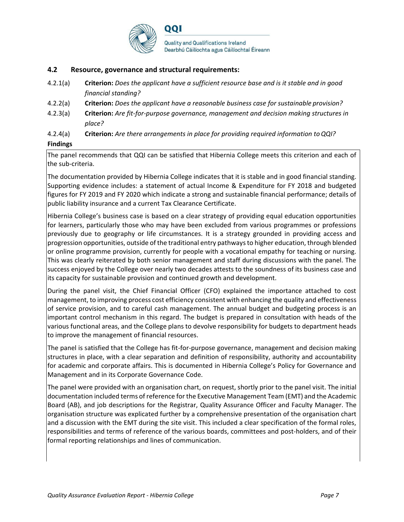

#### **4.2 Resource, governance and structural requirements:**

- 4.2.1(a) **Criterion:** *Does the applicant have a sufficient resource base and is it stable and in good financial standing?*
- 4.2.2(a) **Criterion:** *Does the applicant have a reasonable business case for sustainable provision?*
- 4.2.3(a) **Criterion:** *Are fit-for-purpose governance, management and decision making structures in place?*
- 4.2.4(a) **Criterion:** *Are there arrangements in place for providing required information toQQI?*

#### **Findings**

The panel recommends that QQI can be satisfied that Hibernia College meets this criterion and each of the sub-criteria.

The documentation provided by Hibernia College indicates that it is stable and in good financial standing. Supporting evidence includes: a statement of actual Income & Expenditure for FY 2018 and budgeted figures for FY 2019 and FY 2020 which indicate a strong and sustainable financial performance; details of public liability insurance and a current Tax Clearance Certificate.

Hibernia College's business case is based on a clear strategy of providing equal education opportunities for learners, particularly those who may have been excluded from various programmes or professions previously due to geography or life circumstances. It is a strategy grounded in providing access and progression opportunities, outside of the traditional entry pathwaysto higher education, through blended or online programme provision, currently for people with a vocational empathy for teaching or nursing. This was clearly reiterated by both senior management and staff during discussions with the panel. The success enjoyed by the College over nearly two decades attests to the soundness of its business case and its capacity for sustainable provision and continued growth and development.

During the panel visit, the Chief Financial Officer (CFO) explained the importance attached to cost management, to improving process cost efficiency consistent with enhancing the quality and effectiveness of service provision, and to careful cash management. The annual budget and budgeting process is an important control mechanism in this regard. The budget is prepared in consultation with heads of the various functional areas, and the College plans to devolve responsibility for budgets to department heads to improve the management of financial resources.

The panel is satisfied that the College has fit-for-purpose governance, management and decision making structures in place, with a clear separation and definition of responsibility, authority and accountability for academic and corporate affairs. This is documented in Hibernia College's Policy for Governance and Management and in its Corporate Governance Code.

The panel were provided with an organisation chart, on request, shortly prior to the panel visit. The initial documentation included terms of reference for the Executive Management Team (EMT) and the Academic Board (AB), and job descriptions for the Registrar, Quality Assurance Officer and Faculty Manager. The organisation structure was explicated further by a comprehensive presentation of the organisation chart and a discussion with the EMT during the site visit. This included a clear specification of the formal roles, responsibilities and terms of reference of the various boards, committees and post-holders, and of their formal reporting relationships and lines of communication.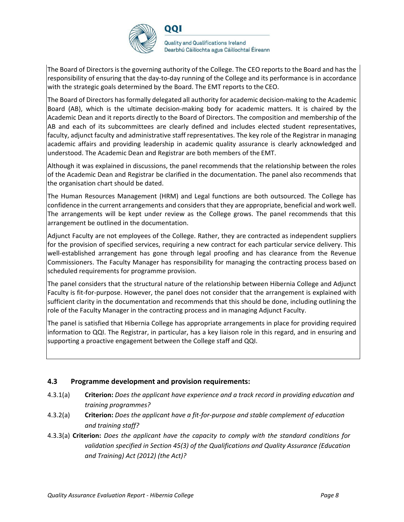

The Board of Directors is the governing authority of the College. The CEO reports to the Board and has the responsibility of ensuring that the day-to-day running of the College and its performance is in accordance with the strategic goals determined by the Board. The EMT reports to the CEO.

The Board of Directors has formally delegated all authority for academic decision-making to the Academic Board (AB), which is the ultimate decision-making body for academic matters. It is chaired by the Academic Dean and it reports directly to the Board of Directors. The composition and membership of the AB and each of its subcommittees are clearly defined and includes elected student representatives, faculty, adjunct faculty and administrative staff representatives. The key role of the Registrar in managing academic affairs and providing leadership in academic quality assurance is clearly acknowledged and understood. The Academic Dean and Registrar are both members of the EMT.

Although it was explained in discussions, the panel recommends that the relationship between the roles of the Academic Dean and Registrar be clarified in the documentation. The panel also recommends that the organisation chart should be dated.

The Human Resources Management (HRM) and Legal functions are both outsourced. The College has confidence in the current arrangements and considers that they are appropriate, beneficial and work well. The arrangements will be kept under review as the College grows. The panel recommends that this arrangement be outlined in the documentation.

Adjunct Faculty are not employees of the College. Rather, they are contracted as independent suppliers for the provision of specified services, requiring a new contract for each particular service delivery. This well-established arrangement has gone through legal proofing and has clearance from the Revenue Commissioners. The Faculty Manager has responsibility for managing the contracting process based on scheduled requirements for programme provision.

The panel considers that the structural nature of the relationship between Hibernia College and Adjunct Faculty is fit-for-purpose. However, the panel does not consider that the arrangement is explained with sufficient clarity in the documentation and recommends that this should be done, including outlining the role of the Faculty Manager in the contracting process and in managing Adjunct Faculty.

The panel is satisfied that Hibernia College has appropriate arrangements in place for providing required information to QQI. The Registrar, in particular, has a key liaison role in this regard, and in ensuring and supporting a proactive engagement between the College staff and QQI.

#### **4.3 Programme development and provision requirements:**

- 4.3.1(a) **Criterion:** *Does the applicant have experience and a track record in providing education and training programmes?*
- 4.3.2(a) **Criterion:** *Does the applicant have a fit-for-purpose and stable complement of education and training staff?*
- 4.3.3(a) **Criterion:** *Does the applicant have the capacity to comply with the standard conditions for validation specified in Section 45(3) of the Qualifications and Quality Assurance (Education and Training) Act (2012) (the Act)?*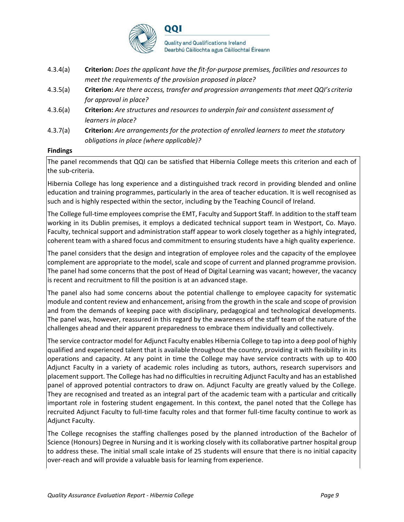

- 4.3.4(a) **Criterion:** *Does the applicant have the fit-for-purpose premises, facilities and resources to meet the requirements of the provision proposed in place?*
- 4.3.5(a) **Criterion:** *Are there access, transfer and progression arrangements that meet QQI's criteria for approval in place?*
- 4.3.6(a) **Criterion:** *Are structures and resources to underpin fair and consistent assessment of learners in place?*
- 4.3.7(a) **Criterion:** *Are arrangements for the protection of enrolled learners to meet the statutory obligations in place (where applicable)?*

#### **Findings**

The panel recommends that QQI can be satisfied that Hibernia College meets this criterion and each of the sub-criteria.

Hibernia College has long experience and a distinguished track record in providing blended and online education and training programmes, particularly in the area of teacher education. It is well recognised as such and is highly respected within the sector, including by the Teaching Council of Ireland.

The College full-time employees comprise the EMT, Faculty and Support Staff. In addition to the staff team working in its Dublin premises, it employs a dedicated technical support team in Westport, Co. Mayo. Faculty, technical support and administration staff appear to work closely together as a highly integrated, coherent team with a shared focus and commitment to ensuring students have a high quality experience.

The panel considers that the design and integration of employee roles and the capacity of the employee complement are appropriate to the model, scale and scope of current and planned programme provision. The panel had some concerns that the post of Head of Digital Learning was vacant; however, the vacancy is recent and recruitment to fill the position is at an advanced stage.

The panel also had some concerns about the potential challenge to employee capacity for systematic module and content review and enhancement, arising from the growth in the scale and scope of provision and from the demands of keeping pace with disciplinary, pedagogical and technological developments. The panel was, however, reassured in this regard by the awareness of the staff team of the nature of the challenges ahead and their apparent preparedness to embrace them individually and collectively.

The service contractor model for Adjunct Faculty enables Hibernia College to tap into a deep pool of highly qualified and experienced talent that is available throughout the country, providing it with flexibility in its operations and capacity. At any point in time the College may have service contracts with up to 400 Adjunct Faculty in a variety of academic roles including as tutors, authors, research supervisors and placement support. The College has had no difficulties in recruiting Adjunct Faculty and has an established panel of approved potential contractors to draw on. Adjunct Faculty are greatly valued by the College. They are recognised and treated as an integral part of the academic team with a particular and critically important role in fostering student engagement. In this context, the panel noted that the College has recruited Adjunct Faculty to full-time faculty roles and that former full-time faculty continue to work as Adjunct Faculty.

The College recognises the staffing challenges posed by the planned introduction of the Bachelor of Science (Honours) Degree in Nursing and it is working closely with its collaborative partner hospital group to address these. The initial small scale intake of 25 students will ensure that there is no initial capacity over-reach and will provide a valuable basis for learning from experience.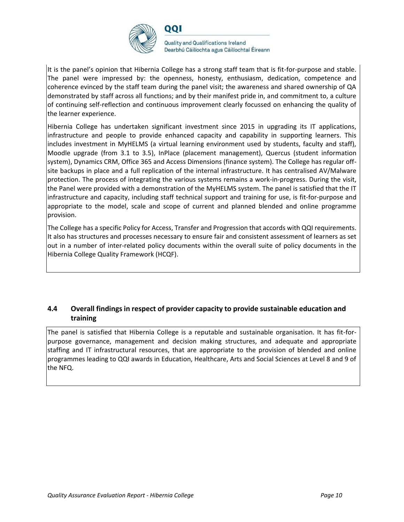

**Quality and Qualifications Ireland** Dearbhú Cáilíochta agus Cáilíochtaí Éireann

It is the panel's opinion that Hibernia College has a strong staff team that is fit-for-purpose and stable. The panel were impressed by: the openness, honesty, enthusiasm, dedication, competence and coherence evinced by the staff team during the panel visit; the awareness and shared ownership of QA demonstrated by staff across all functions; and by their manifest pride in, and commitment to, a culture of continuing self-reflection and continuous improvement clearly focussed on enhancing the quality of the learner experience.

Hibernia College has undertaken significant investment since 2015 in upgrading its IT applications, infrastructure and people to provide enhanced capacity and capability in supporting learners. This includes investment in MyHELMS (a virtual learning environment used by students, faculty and staff), Moodle upgrade (from 3.1 to 3.5), InPlace (placement management), Quercus (student information system), Dynamics CRM, Office 365 and Access Dimensions (finance system). The College has regular offsite backups in place and a full replication of the internal infrastructure. It has centralised AV/Malware protection. The process of integrating the various systems remains a work-in-progress. During the visit, the Panel were provided with a demonstration of the MyHELMS system. The panel is satisfied that the IT infrastructure and capacity, including staff technical support and training for use, is fit-for-purpose and appropriate to the model, scale and scope of current and planned blended and online programme provision.

The College has a specific Policy for Access, Transfer and Progression that accords with QQI requirements. It also has structures and processes necessary to ensure fair and consistent assessment of learners as set out in a number of inter-related policy documents within the overall suite of policy documents in the Hibernia College Quality Framework (HCQF).

### **4.4 Overall findings in respect of provider capacity to provide sustainable education and training**

The panel is satisfied that Hibernia College is a reputable and sustainable organisation. It has fit-forpurpose governance, management and decision making structures, and adequate and appropriate staffing and IT infrastructural resources, that are appropriate to the provision of blended and online programmes leading to QQI awards in Education, Healthcare, Arts and Social Sciences at Level 8 and 9 of the NFQ.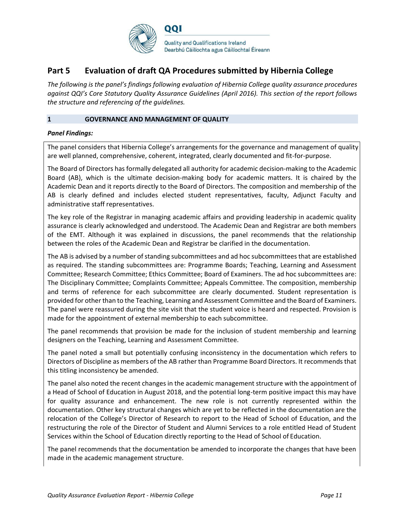

# **Part 5 Evaluation of draft QA Procedures submitted by Hibernia College**

*The following is the panel's findings following evaluation of Hibernia College quality assurance procedures against QQI's Core Statutory Quality Assurance Guidelines (April 2016). This section of the report follows the structure and referencing of the guidelines.*

#### **1 GOVERNANCE AND MANAGEMENT OF QUALITY**

#### *Panel Findings:*

The panel considers that Hibernia College's arrangements for the governance and management of quality are well planned, comprehensive, coherent, integrated, clearly documented and fit-for-purpose.

The Board of Directors has formally delegated all authority for academic decision-making to the Academic Board (AB), which is the ultimate decision-making body for academic matters. It is chaired by the Academic Dean and it reports directly to the Board of Directors. The composition and membership of the AB is clearly defined and includes elected student representatives, faculty, Adjunct Faculty and administrative staff representatives.

The key role of the Registrar in managing academic affairs and providing leadership in academic quality assurance is clearly acknowledged and understood. The Academic Dean and Registrar are both members of the EMT. Although it was explained in discussions, the panel recommends that the relationship between the roles of the Academic Dean and Registrar be clarified in the documentation.

The AB is advised by a number of standing subcommittees and ad hoc subcommittees that are established as required. The standing subcommittees are: Programme Boards; Teaching, Learning and Assessment Committee; Research Committee; Ethics Committee; Board of Examiners. The ad hoc subcommittees are: The Disciplinary Committee; Complaints Committee; Appeals Committee. The composition, membership and terms of reference for each subcommittee are clearly documented. Student representation is provided for other than to the Teaching, Learning and Assessment Committee and the Board of Examiners. The panel were reassured during the site visit that the student voice is heard and respected. Provision is made for the appointment of external membership to each subcommittee.

The panel recommends that provision be made for the inclusion of student membership and learning designers on the Teaching, Learning and Assessment Committee.

The panel noted a small but potentially confusing inconsistency in the documentation which refers to Directors of Discipline as members of the AB rather than Programme Board Directors. It recommendsthat this titling inconsistency be amended.

The panel also noted the recent changes in the academic management structure with the appointment of a Head of School of Education in August 2018, and the potential long-term positive impact this may have for quality assurance and enhancement. The new role is not currently represented within the documentation. Other key structural changes which are yet to be reflected in the documentation are the relocation of the College's Director of Research to report to the Head of School of Education, and the restructuring the role of the Director of Student and Alumni Services to a role entitled Head of Student Services within the School of Education directly reporting to the Head of School of Education.

The panel recommends that the documentation be amended to incorporate the changes that have been made in the academic management structure.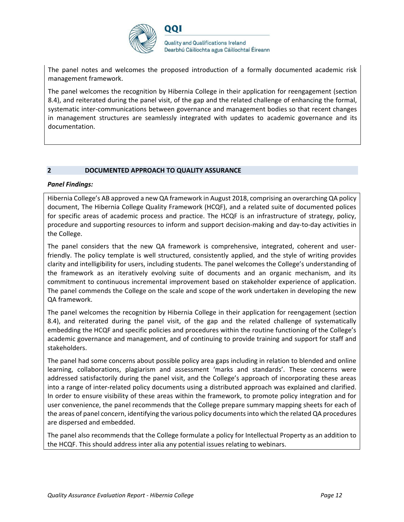

The panel notes and welcomes the proposed introduction of a formally documented academic risk management framework.

The panel welcomes the recognition by Hibernia College in their application for reengagement (section 8.4), and reiterated during the panel visit, of the gap and the related challenge of enhancing the formal, systematic inter-communications between governance and management bodies so that recent changes in management structures are seamlessly integrated with updates to academic governance and its documentation.

#### **2 DOCUMENTED APPROACH TO QUALITY ASSURANCE**

#### *Panel Findings:*

Hibernia College's AB approved a new QA framework in August 2018, comprising an overarching QA policy document, The Hibernia College Quality Framework (HCQF), and a related suite of documented polices for specific areas of academic process and practice. The HCQF is an infrastructure of strategy, policy, procedure and supporting resources to inform and support decision-making and day-to-day activities in the College.

The panel considers that the new QA framework is comprehensive, integrated, coherent and userfriendly. The policy template is well structured, consistently applied, and the style of writing provides clarity and intelligibility for users, including students. The panel welcomes the College's understanding of the framework as an iteratively evolving suite of documents and an organic mechanism, and its commitment to continuous incremental improvement based on stakeholder experience of application. The panel commends the College on the scale and scope of the work undertaken in developing the new QA framework.

The panel welcomes the recognition by Hibernia College in their application for reengagement (section 8.4), and reiterated during the panel visit, of the gap and the related challenge of systematically embedding the HCQF and specific policies and procedures within the routine functioning of the College's academic governance and management, and of continuing to provide training and support for staff and stakeholders.

The panel had some concerns about possible policy area gaps including in relation to blended and online learning, collaborations, plagiarism and assessment 'marks and standards'. These concerns were addressed satisfactorily during the panel visit, and the College's approach of incorporating these areas into a range of inter-related policy documents using a distributed approach was explained and clarified. In order to ensure visibility of these areas within the framework, to promote policy integration and for user convenience, the panel recommends that the College prepare summary mapping sheets for each of the areas of panel concern, identifying the various policy documentsinto which the related QA procedures are dispersed and embedded.

The panel also recommends that the College formulate a policy for Intellectual Property as an addition to the HCQF. This should address inter alia any potential issues relating to webinars.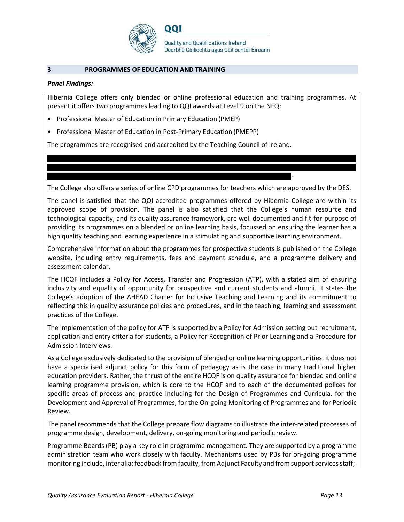

#### **3 PROGRAMMES OF EDUCATION AND TRAINING**

#### *Panel Findings:*

Hibernia College offers only blended or online professional education and training programmes. At present it offers two programmes leading to QQI awards at Level 9 on the NFQ:

- Professional Master of Education in Primary Education (PMEP)
- Professional Master of Education in Post-Primary Education (PMEPP)

The programmes are recognised and accredited by the Teaching Council of Ireland.

DOI

The College also offers a series of online CPD programmes for teachers which are approved by the DES.

.

The panel is satisfied that the QQI accredited programmes offered by Hibernia College are within its approved scope of provision. The panel is also satisfied that the College's human resource and technological capacity, and its quality assurance framework, are well documented and fit-for-purpose of providing its programmes on a blended or online learning basis, focussed on ensuring the learner has a high quality teaching and learning experience in a stimulating and supportive learning environment.

Comprehensive information about the programmes for prospective students is published on the College website, including entry requirements, fees and payment schedule, and a programme delivery and assessment calendar.

The HCQF includes a Policy for Access, Transfer and Progression (ATP), with a stated aim of ensuring inclusivity and equality of opportunity for prospective and current students and alumni. It states the College's adoption of the AHEAD Charter for Inclusive Teaching and Learning and its commitment to reflecting this in quality assurance policies and procedures, and in the teaching, learning and assessment practices of the College.

The implementation of the policy for ATP is supported by a Policy for Admission setting out recruitment, application and entry criteria for students, a Policy for Recognition of Prior Learning and a Procedure for Admission Interviews.

As a College exclusively dedicated to the provision of blended or online learning opportunities, it does not have a specialised adjunct policy for this form of pedagogy as is the case in many traditional higher education providers. Rather, the thrust of the entire HCQF is on quality assurance for blended and online learning programme provision, which is core to the HCQF and to each of the documented polices for specific areas of process and practice including for the Design of Programmes and Curricula, for the Development and Approval of Programmes, for the On-going Monitoring of Programmes and for Periodic Review.

The panel recommends that the College prepare flow diagrams to illustrate the inter-related processes of programme design, development, delivery, on-going monitoring and periodic review.

Programme Boards (PB) play a key role in programme management. They are supported by a programme administration team who work closely with faculty. Mechanisms used by PBs for on-going programme monitoring include, inter alia: feedback from faculty, from Adjunct Faculty and from support services staff;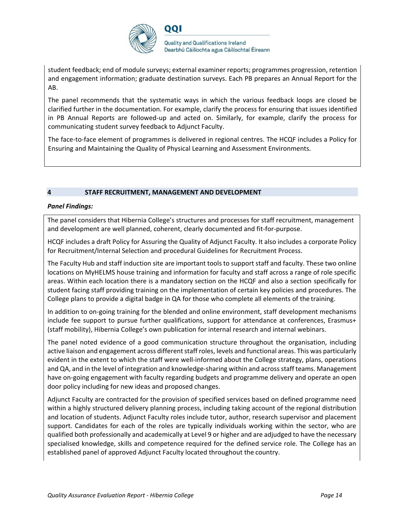

student feedback; end of module surveys; external examiner reports; programmes progression, retention and engagement information; graduate destination surveys. Each PB prepares an Annual Report for the AB.

The panel recommends that the systematic ways in which the various feedback loops are closed be clarified further in the documentation. For example, clarify the process for ensuring that issues identified in PB Annual Reports are followed-up and acted on. Similarly, for example, clarify the process for communicating student survey feedback to Adjunct Faculty.

The face-to-face element of programmes is delivered in regional centres. The HCQF includes a Policy for Ensuring and Maintaining the Quality of Physical Learning and Assessment Environments.

#### **4 STAFF RECRUITMENT, MANAGEMENT AND DEVELOPMENT**

#### *Panel Findings:*

The panel considers that Hibernia College's structures and processes for staff recruitment, management and development are well planned, coherent, clearly documented and fit-for-purpose.

HCQF includes a draft Policy for Assuring the Quality of Adjunct Faculty. It also includes a corporate Policy for Recruitment/Internal Selection and procedural Guidelines for Recruitment Process.

The Faculty Hub and staff induction site are important tools to support staff and faculty. These two online locations on MyHELMS house training and information for faculty and staff across a range of role specific areas. Within each location there is a mandatory section on the HCQF and also a section specifically for student facing staff providing training on the implementation of certain key policies and procedures. The College plans to provide a digital badge in QA for those who complete all elements of the training.

In addition to on-going training for the blended and online environment, staff development mechanisms include fee support to pursue further qualifications, support for attendance at conferences, Erasmus+ (staff mobility), Hibernia College's own publication for internal research and internal webinars.

The panel noted evidence of a good communication structure throughout the organisation, including active liaison and engagement across different staff roles, levels and functional areas. This was particularly evident in the extent to which the staff were well-informed about the College strategy, plans, operations and QA, and in the level of integration and knowledge-sharing within and acrossstaff teams. Management have on-going engagement with faculty regarding budgets and programme delivery and operate an open door policy including for new ideas and proposed changes.

Adjunct Faculty are contracted for the provision of specified services based on defined programme need within a highly structured delivery planning process, including taking account of the regional distribution and location of students. Adjunct Faculty roles include tutor, author, research supervisor and placement support. Candidates for each of the roles are typically individuals working within the sector, who are qualified both professionally and academically at Level 9 or higher and are adjudged to have the necessary specialised knowledge, skills and competence required for the defined service role. The College has an established panel of approved Adjunct Faculty located throughout the country.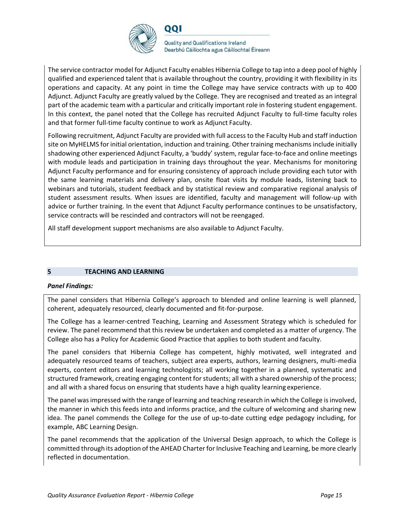

**Quality and Qualifications Ireland** Dearbhú Cáilíochta agus Cáilíochtaí Éireann

The service contractor model for Adjunct Faculty enables Hibernia College to tap into a deep pool of highly qualified and experienced talent that is available throughout the country, providing it with flexibility in its operations and capacity. At any point in time the College may have service contracts with up to 400 Adjunct. Adjunct Faculty are greatly valued by the College. They are recognised and treated as an integral part of the academic team with a particular and critically important role in fostering student engagement. In this context, the panel noted that the College has recruited Adjunct Faculty to full-time faculty roles and that former full-time faculty continue to work as Adjunct Faculty.

Following recruitment, Adjunct Faculty are provided with full access to the Faculty Hub and staff induction site on MyHELMS for initial orientation, induction and training. Other training mechanisms include initially shadowing other experienced Adjunct Faculty, a 'buddy' system, regular face-to-face and online meetings with module leads and participation in training days throughout the year. Mechanisms for monitoring Adjunct Faculty performance and for ensuring consistency of approach include providing each tutor with the same learning materials and delivery plan, onsite float visits by module leads, listening back to webinars and tutorials, student feedback and by statistical review and comparative regional analysis of student assessment results. When issues are identified, faculty and management will follow-up with advice or further training. In the event that Adjunct Faculty performance continues to be unsatisfactory, service contracts will be rescinded and contractors will not be reengaged.

All staff development support mechanisms are also available to Adjunct Faculty.

#### **5 TEACHING AND LEARNING**

#### *Panel Findings:*

The panel considers that Hibernia College's approach to blended and online learning is well planned, coherent, adequately resourced, clearly documented and fit-for-purpose.

The College has a learner-centred Teaching, Learning and Assessment Strategy which is scheduled for review. The panel recommend that this review be undertaken and completed as a matter of urgency. The College also has a Policy for Academic Good Practice that applies to both student and faculty.

The panel considers that Hibernia College has competent, highly motivated, well integrated and adequately resourced teams of teachers, subject area experts, authors, learning designers, multi-media experts, content editors and learning technologists; all working together in a planned, systematic and structured framework, creating engaging content forstudents; all with a shared ownership of the process; and all with a shared focus on ensuring that students have a high quality learning experience.

The panel wasimpressed with the range of learning and teaching research in which the College isinvolved, the manner in which this feeds into and informs practice, and the culture of welcoming and sharing new idea. The panel commends the College for the use of up-to-date cutting edge pedagogy including, for example, ABC Learning Design.

The panel recommends that the application of the Universal Design approach, to which the College is committed through its adoption of the AHEAD Charter for Inclusive Teaching and Learning, be more clearly reflected in documentation.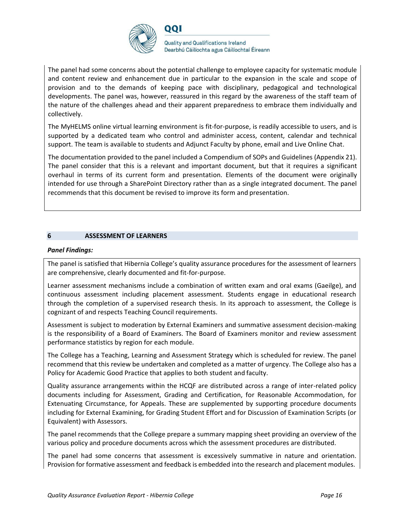

DOI

**Quality and Qualifications Ireland** Dearbhú Cáilíochta agus Cáilíochtaí Éireann

The panel had some concerns about the potential challenge to employee capacity for systematic module and content review and enhancement due in particular to the expansion in the scale and scope of provision and to the demands of keeping pace with disciplinary, pedagogical and technological developments. The panel was, however, reassured in this regard by the awareness of the staff team of the nature of the challenges ahead and their apparent preparedness to embrace them individually and collectively.

The MyHELMS online virtual learning environment is fit-for-purpose, is readily accessible to users, and is supported by a dedicated team who control and administer access, content, calendar and technical support. The team is available to students and Adjunct Faculty by phone, email and Live Online Chat.

The documentation provided to the panel included a Compendium of SOPs and Guidelines (Appendix 21). The panel consider that this is a relevant and important document, but that it requires a significant overhaul in terms of its current form and presentation. Elements of the document were originally intended for use through a SharePoint Directory rather than as a single integrated document. The panel recommends that this document be revised to improve its form and presentation.

#### **6 ASSESSMENT OF LEARNERS**

#### *Panel Findings:*

The panel is satisfied that Hibernia College's quality assurance procedures for the assessment of learners are comprehensive, clearly documented and fit-for-purpose.

Learner assessment mechanisms include a combination of written exam and oral exams (Gaeilge), and continuous assessment including placement assessment. Students engage in educational research through the completion of a supervised research thesis. In its approach to assessment, the College is cognizant of and respects Teaching Council requirements.

Assessment is subject to moderation by External Examiners and summative assessment decision-making is the responsibility of a Board of Examiners. The Board of Examiners monitor and review assessment performance statistics by region for each module.

The College has a Teaching, Learning and Assessment Strategy which is scheduled for review. The panel recommend that this review be undertaken and completed as a matter of urgency. The College also has a Policy for Academic Good Practice that applies to both student and faculty.

Quality assurance arrangements within the HCQF are distributed across a range of inter-related policy documents including for Assessment, Grading and Certification, for Reasonable Accommodation, for Extenuating Circumstance, for Appeals. These are supplemented by supporting procedure documents including for External Examining, for Grading Student Effort and for Discussion of Examination Scripts (or Equivalent) with Assessors.

The panel recommends that the College prepare a summary mapping sheet providing an overview of the various policy and procedure documents across which the assessment procedures are distributed.

The panel had some concerns that assessment is excessively summative in nature and orientation. Provision for formative assessment and feedback is embedded into the research and placement modules.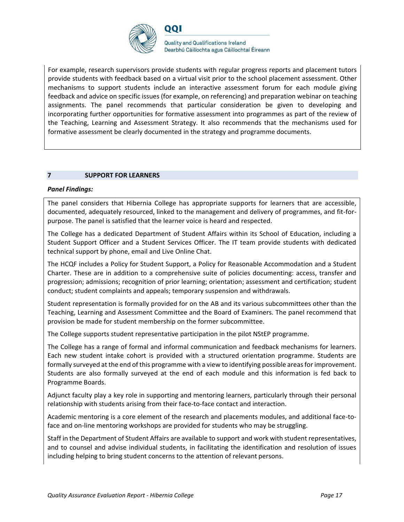

**Quality and Qualifications Ireland** Dearbhú Cáilíochta agus Cáilíochtaí Éireann

For example, research supervisors provide students with regular progress reports and placement tutors provide students with feedback based on a virtual visit prior to the school placement assessment. Other mechanisms to support students include an interactive assessment forum for each module giving feedback and advice on specific issues (for example, on referencing) and preparation webinar on teaching assignments. The panel recommends that particular consideration be given to developing and incorporating further opportunities for formative assessment into programmes as part of the review of the Teaching, Learning and Assessment Strategy. It also recommends that the mechanisms used for formative assessment be clearly documented in the strategy and programme documents.

#### **7 SUPPORT FOR LEARNERS**

#### *Panel Findings:*

The panel considers that Hibernia College has appropriate supports for learners that are accessible, documented, adequately resourced, linked to the management and delivery of programmes, and fit-forpurpose. The panel is satisfied that the learner voice is heard and respected.

The College has a dedicated Department of Student Affairs within its School of Education, including a Student Support Officer and a Student Services Officer. The IT team provide students with dedicated technical support by phone, email and Live Online Chat.

The HCQF includes a Policy for Student Support, a Policy for Reasonable Accommodation and a Student Charter. These are in addition to a comprehensive suite of policies documenting: access, transfer and progression; admissions; recognition of prior learning; orientation; assessment and certification; student conduct; student complaints and appeals; temporary suspension and withdrawals.

Student representation is formally provided for on the AB and its various subcommittees other than the Teaching, Learning and Assessment Committee and the Board of Examiners. The panel recommend that provision be made for student membership on the former subcommittee.

The College supports student representative participation in the pilot NStEP programme.

The College has a range of formal and informal communication and feedback mechanisms for learners. Each new student intake cohort is provided with a structured orientation programme. Students are formally surveyed at the end of this programme with a view to identifying possible areas for improvement. Students are also formally surveyed at the end of each module and this information is fed back to Programme Boards.

Adjunct faculty play a key role in supporting and mentoring learners, particularly through their personal relationship with students arising from their face-to-face contact and interaction.

Academic mentoring is a core element of the research and placements modules, and additional face-toface and on-line mentoring workshops are provided for students who may be struggling.

Staff in the Department of Student Affairs are available to support and work with student representatives, and to counsel and advise individual students, in facilitating the identification and resolution of issues including helping to bring student concerns to the attention of relevant persons.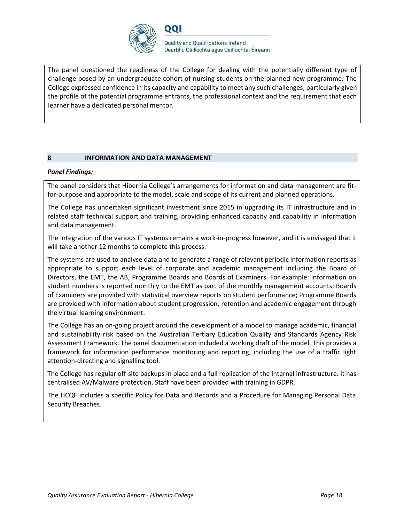

The panel questioned the readiness of the College for dealing with the potentially different type of challenge posed by an undergraduate cohort of nursing students on the planned new programme. The College expressed confidence in its capacity and capability to meet any such challenges, particularly given the profile of the potential programme entrants, the professional context and the requirement that each learner have a dedicated personal mentor.

#### **8 INFORMATION AND DATA MANAGEMENT**

#### *Panel Findings:*

The panel considers that Hibernia College's arrangements for information and data management are fitfor-purpose and appropriate to the model, scale and scope of its current and planned operations.

The College has undertaken significant investment since 2015 in upgrading its IT infrastructure and in related staff technical support and training, providing enhanced capacity and capability in information and data management.

The integration of the various IT systems remains a work-in-progress however, and it is envisaged that it will take another 12 months to complete this process.

The systems are used to analyse data and to generate a range of relevant periodic information reports as appropriate to support each level of corporate and academic management including the Board of Directors, the EMT, the AB, Programme Boards and Boards of Examiners. For example: information on student numbers is reported monthly to the EMT as part of the monthly management accounts; Boards of Examiners are provided with statistical overview reports on student performance; Programme Boards are provided with information about student progression, retention and academic engagement through the virtual learning environment.

The College has an on-going project around the development of a model to manage academic, financial and sustainability risk based on the Australian Tertiary Education Quality and Standards Agency Risk Assessment Framework. The panel documentation included a working draft of the model. This provides a framework for information performance monitoring and reporting, including the use of a traffic light attention-directing and signalling tool.

The College has regular off-site backups in place and a full replication of the internal infrastructure. It has centralised AV/Malware protection. Staff have been provided with training in GDPR.

The HCQF includes a specific Policy for Data and Records and a Procedure for Managing Personal Data Security Breaches.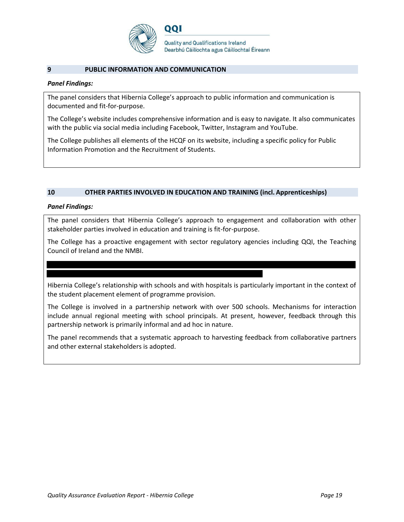

**Quality and Qualifications Ireland** Dearbhú Cáilíochta agus Cáilíochtaí Éireann

#### **9 PUBLIC INFORMATION AND COMMUNICATION**

#### *Panel Findings:*

The panel considers that Hibernia College's approach to public information and communication is documented and fit-for-purpose.

The College's website includes comprehensive information and is easy to navigate. It also communicates with the public via social media including Facebook, Twitter, Instagram and YouTube.

The College publishes all elements of the HCQF on its website, including a specific policy for Public Information Promotion and the Recruitment of Students.

#### **10 OTHER PARTIES INVOLVED IN EDUCATION AND TRAINING (incl. Apprenticeships)**

#### *Panel Findings:*

The panel considers that Hibernia College's approach to engagement and collaboration with other stakeholder parties involved in education and training is fit-for-purpose.

The College has a proactive engagement with sector regulatory agencies including QQI, the Teaching Council of Ireland and the NMBI.

Hibernia College's relationship with schools and with hospitals is particularly important in the context of the student placement element of programme provision.

The College is involved in a partnership network with over 500 schools. Mechanisms for interaction include annual regional meeting with school principals. At present, however, feedback through this partnership network is primarily informal and ad hoc in nature.

The panel recommends that a systematic approach to harvesting feedback from collaborative partners and other external stakeholders is adopted.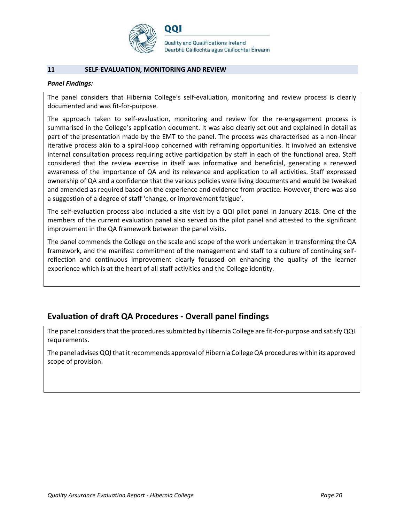

**Quality and Qualifications Ireland** Dearbhú Cáilíochta agus Cáilíochtaí Éireann

#### **11 SELF-EVALUATION, MONITORING AND REVIEW**

#### *Panel Findings:*

The panel considers that Hibernia College's self-evaluation, monitoring and review process is clearly documented and was fit-for-purpose.

The approach taken to self-evaluation, monitoring and review for the re-engagement process is summarised in the College's application document. It was also clearly set out and explained in detail as part of the presentation made by the EMT to the panel. The process was characterised as a non-linear iterative process akin to a spiral-loop concerned with reframing opportunities. It involved an extensive internal consultation process requiring active participation by staff in each of the functional area. Staff considered that the review exercise in itself was informative and beneficial, generating a renewed awareness of the importance of QA and its relevance and application to all activities. Staff expressed ownership of QA and a confidence that the various policies were living documents and would be tweaked and amended as required based on the experience and evidence from practice. However, there was also a suggestion of a degree of staff 'change, or improvementfatigue'.

The self-evaluation process also included a site visit by a QQI pilot panel in January 2018. One of the members of the current evaluation panel also served on the pilot panel and attested to the significant improvement in the QA framework between the panel visits.

The panel commends the College on the scale and scope of the work undertaken in transforming the QA framework, and the manifest commitment of the management and staff to a culture of continuing selfreflection and continuous improvement clearly focussed on enhancing the quality of the learner experience which is at the heart of all staff activities and the College identity.

# **Evaluation of draft QA Procedures - Overall panel findings**

The panel considers that the procedures submitted by Hibernia College are fit-for-purpose and satisfy QQI requirements.

The panel advises QQI that it recommends approval of Hibernia College QA procedures within its approved scope of provision.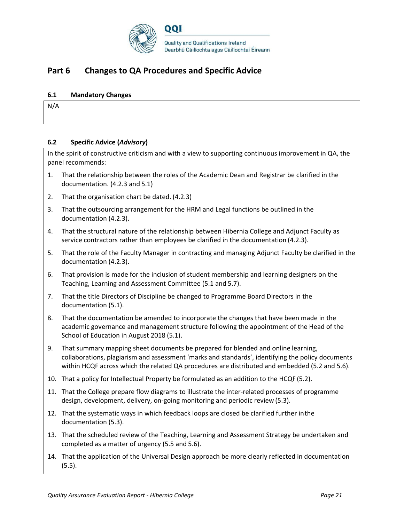

# **Part 6 Changes to QA Procedures and Specific Advice**

#### **6.1 Mandatory Changes**

N/A

#### **6.2 Specific Advice (***Advisory***)**

In the spirit of constructive criticism and with a view to supporting continuous improvement in QA, the panel recommends:

- 1. That the relationship between the roles of the Academic Dean and Registrar be clarified in the documentation. (4.2.3 and 5.1)
- 2. That the organisation chart be dated. (4.2.3)
- 3. That the outsourcing arrangement for the HRM and Legal functions be outlined in the documentation (4.2.3).
- 4. That the structural nature of the relationship between Hibernia College and Adjunct Faculty as service contractors rather than employees be clarified in the documentation (4.2.3).
- 5. That the role of the Faculty Manager in contracting and managing Adjunct Faculty be clarified in the documentation (4.2.3).
- 6. That provision is made for the inclusion of student membership and learning designers on the Teaching, Learning and Assessment Committee (5.1 and 5.7).
- 7. That the title Directors of Discipline be changed to Programme Board Directors in the documentation (5.1).
- 8. That the documentation be amended to incorporate the changes that have been made in the academic governance and management structure following the appointment of the Head of the School of Education in August 2018 (5.1).
- 9. That summary mapping sheet documents be prepared for blended and online learning, collaborations, plagiarism and assessment 'marks and standards', identifying the policy documents within HCQF across which the related QA procedures are distributed and embedded (5.2 and 5.6).
- 10. That a policy for Intellectual Property be formulated as an addition to the HCQF (5.2).
- 11. That the College prepare flow diagrams to illustrate the inter-related processes of programme design, development, delivery, on-going monitoring and periodic review (5.3).
- 12. That the systematic ways in which feedback loops are closed be clarified further inthe documentation (5.3).
- 13. That the scheduled review of the Teaching, Learning and Assessment Strategy be undertaken and completed as a matter of urgency (5.5 and 5.6).
- 14. That the application of the Universal Design approach be more clearly reflected in documentation (5.5).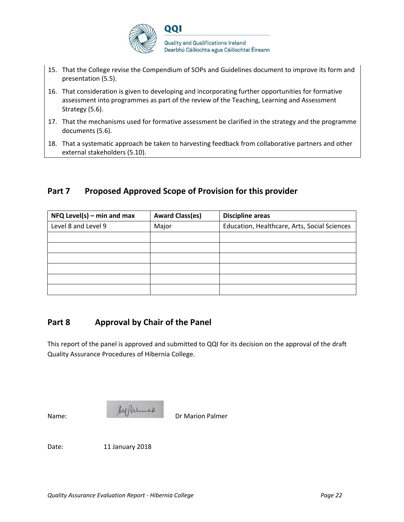

- 15. That the College revise the Compendium of SOPs and Guidelines document to improve its form and presentation (5.5).
- 16. That consideration is given to developing and incorporating further opportunities for formative assessment into programmes as part of the review of the Teaching, Learning and Assessment Strategy (5.6).
- 17. That the mechanisms used for formative assessment be clarified in the strategy and the programme documents (5.6).
- 18. That a systematic approach be taken to harvesting feedback from collaborative partners and other external stakeholders (5.10).

# **Part 7 Proposed Approved Scope of Provision for this provider**

| $NFA$ Level(s) – min and max | <b>Award Class(es)</b> | <b>Discipline areas</b>                      |
|------------------------------|------------------------|----------------------------------------------|
| Level 8 and Level 9          | Major                  | Education, Healthcare, Arts, Social Sciences |
|                              |                        |                                              |
|                              |                        |                                              |
|                              |                        |                                              |
|                              |                        |                                              |
|                              |                        |                                              |
|                              |                        |                                              |

# **Part 8 Approval by Chair of the Panel**

This report of the panel is approved and submitted to QQI for its decision on the approval of the draft Quality Assurance Procedures of Hibernia College.



Date: 11 January 2018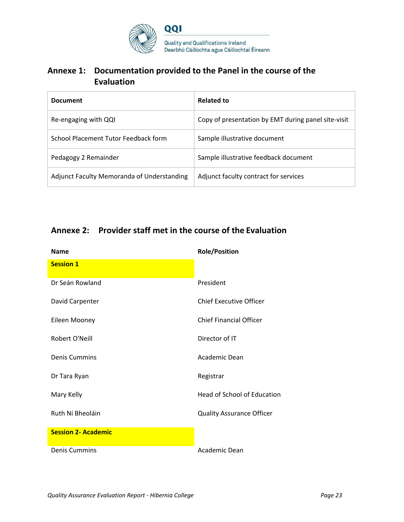

# **Annexe 1: Documentation provided to the Panel in the course of the Evaluation**

| <b>Document</b>                            | Related to                                          |
|--------------------------------------------|-----------------------------------------------------|
| Re-engaging with QQI                       | Copy of presentation by EMT during panel site-visit |
| School Placement Tutor Feedback form       | Sample illustrative document                        |
| Pedagogy 2 Remainder                       | Sample illustrative feedback document               |
| Adjunct Faculty Memoranda of Understanding | Adjunct faculty contract for services               |

# **Annexe 2: Provider staff met in the course of the Evaluation**

| <b>Name</b>                | <b>Role/Position</b>             |
|----------------------------|----------------------------------|
| <b>Session 1</b>           |                                  |
| Dr Seán Rowland            | President                        |
| David Carpenter            | Chief Executive Officer          |
| Eileen Mooney              | <b>Chief Financial Officer</b>   |
| Robert O'Neill             | Director of IT                   |
| <b>Denis Cummins</b>       | Academic Dean                    |
| Dr Tara Ryan               | Registrar                        |
| Mary Kelly                 | Head of School of Education      |
| Ruth Ní Bheoláin           | <b>Quality Assurance Officer</b> |
| <b>Session 2- Academic</b> |                                  |
| Denis Cummins              | Academic Dean                    |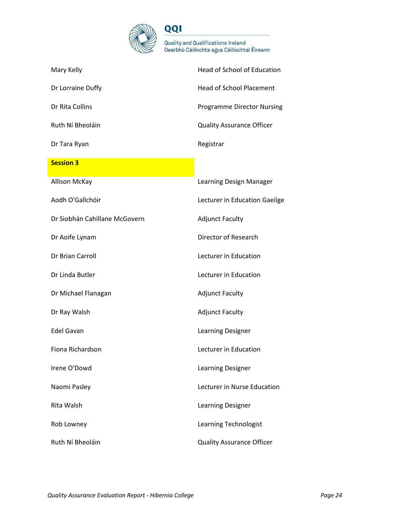

| Mary Kelly                    | Head of School of Education       |
|-------------------------------|-----------------------------------|
| Dr Lorraine Duffy             | <b>Head of School Placement</b>   |
| Dr Rita Collins               | <b>Programme Director Nursing</b> |
| Ruth Ní Bheoláin              | <b>Quality Assurance Officer</b>  |
| Dr Tara Ryan                  | Registrar                         |
| <b>Session 3</b>              |                                   |
| <b>Allison McKay</b>          | Learning Design Manager           |
| Aodh O'Gallchóir              | Lecturer in Education Gaeilge     |
| Dr Siobhán Cahillane McGovern | <b>Adjunct Faculty</b>            |
| Dr Aoife Lynam                | Director of Research              |
| Dr Brian Carroll              | Lecturer in Education             |
| Dr Linda Butler               | Lecturer in Education             |
| Dr Michael Flanagan           | <b>Adjunct Faculty</b>            |
| Dr Ray Walsh                  | <b>Adjunct Faculty</b>            |
| <b>Edel Gavan</b>             | Learning Designer                 |
| Fiona Richardson              | Lecturer in Education             |
| Irene O'Dowd                  | Learning Designer                 |
| Naomi Pasley                  | Lecturer in Nurse Education       |
| Rita Walsh                    | Learning Designer                 |
| Rob Lowney                    | Learning Technologist             |
| Ruth Ní Bheoláin              | <b>Quality Assurance Officer</b>  |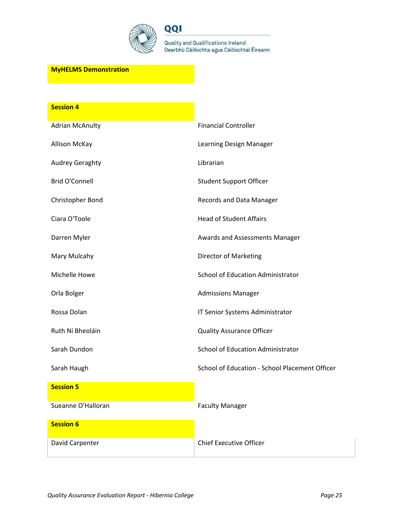

QQI

Quality and Qualifications Ireland<br>Dearbhú Cáilíochta agus Cáilíochtaí Éireann

### **MyHELMS Demonstration**

| <b>Session 4</b>       |                                                |
|------------------------|------------------------------------------------|
| <b>Adrian McAnulty</b> | <b>Financial Controller</b>                    |
| <b>Allison McKay</b>   | Learning Design Manager                        |
| <b>Audrey Geraghty</b> | Librarian                                      |
| <b>Brid O'Connell</b>  | <b>Student Support Officer</b>                 |
| Christopher Bond       | Records and Data Manager                       |
| Ciara O'Toole          | <b>Head of Student Affairs</b>                 |
| Darren Myler           | Awards and Assessments Manager                 |
| Mary Mulcahy           | Director of Marketing                          |
| Michelle Howe          | School of Education Administrator              |
| Orla Bolger            | <b>Admissions Manager</b>                      |
| Rossa Dolan            | IT Senior Systems Administrator                |
| Ruth Ní Bheoláin       | <b>Quality Assurance Officer</b>               |
| Sarah Dundon           | School of Education Administrator              |
| Sarah Haugh            | School of Education - School Placement Officer |
| <b>Session 5</b>       |                                                |
| Sueanne O'Halloran     | <b>Faculty Manager</b>                         |
| <b>Session 6</b>       |                                                |
| David Carpenter        | <b>Chief Executive Officer</b>                 |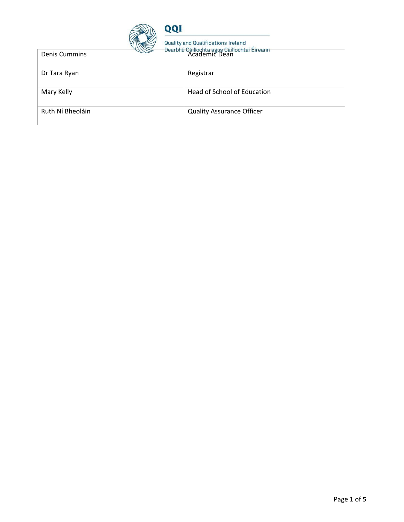

| <b>Denis Cummins</b> | 172 | Academic Dean                    |
|----------------------|-----|----------------------------------|
| Dr Tara Ryan         |     | Registrar                        |
| Mary Kelly           |     | Head of School of Education      |
| Ruth Ní Bheoláin     |     | <b>Quality Assurance Officer</b> |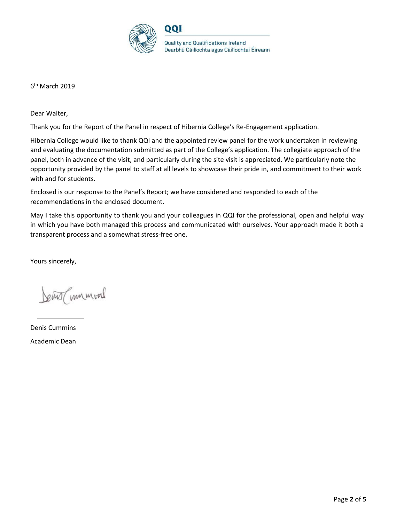

6<sup>th</sup> March 2019

Dear Walter,

Thank you for the Report of the Panel in respect of Hibernia College's Re-Engagement application.

Hibernia College would like to thank QQI and the appointed review panel for the work undertaken in reviewing and evaluating the documentation submitted as part of the College's application. The collegiate approach of the panel, both in advance of the visit, and particularly during the site visit is appreciated. We particularly note the opportunity provided by the panel to staff at all levels to showcase their pride in, and commitment to their work with and for students.

Enclosed is our response to the Panel's Report; we have considered and responded to each of the recommendations in the enclosed document.

May I take this opportunity to thank you and your colleagues in QQI for the professional, open and helpful way in which you have both managed this process and communicated with ourselves. Your approach made it both a transparent process and a somewhat stress-free one.

Yours sincerely,

Jewis (unmod

Denis Cummins Academic Dean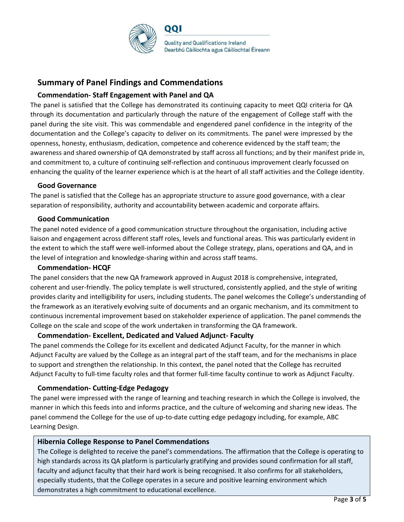

# **Summary of Panel Findings and Commendations**

### **Commendation- Staff Engagement with Panel and QA**

The panel is satisfied that the College has demonstrated its continuing capacity to meet QQI criteria for QA through its documentation and particularly through the nature of the engagement of College staff with the panel during the site visit. This was commendable and engendered panel confidence in the integrity of the documentation and the College's capacity to deliver on its commitments. The panel were impressed by the openness, honesty, enthusiasm, dedication, competence and coherence evidenced by the staff team; the awareness and shared ownership of QA demonstrated by staff across all functions; and by their manifest pride in, and commitment to, a culture of continuing self-reflection and continuous improvement clearly focussed on enhancing the quality of the learner experience which is at the heart of all staff activities and the College identity.

#### **Good Governance**

The panel is satisfied that the College has an appropriate structure to assure good governance, with a clear separation of responsibility, authority and accountability between academic and corporate affairs.

#### **Good Communication**

The panel noted evidence of a good communication structure throughout the organisation, including active liaison and engagement across different staff roles, levels and functional areas. This was particularly evident in the extent to which the staff were well-informed about the College strategy, plans, operations and QA, and in the level of integration and knowledge-sharing within and across staff teams.

#### **Commendation- HCQF**

The panel considers that the new QA framework approved in August 2018 is comprehensive, integrated, coherent and user-friendly. The policy template is well structured, consistently applied, and the style of writing provides clarity and intelligibility for users, including students. The panel welcomes the College's understanding of the framework as an iteratively evolving suite of documents and an organic mechanism, and its commitment to continuous incremental improvement based on stakeholder experience of application. The panel commends the College on the scale and scope of the work undertaken in transforming the QA framework.

#### **Commendation- Excellent, Dedicated and Valued Adjunct- Faculty**

The panel commends the College for its excellent and dedicated Adjunct Faculty, for the manner in which Adjunct Faculty are valued by the College as an integral part of the staff team, and for the mechanisms in place to support and strengthen the relationship. In this context, the panel noted that the College has recruited Adjunct Faculty to full-time faculty roles and that former full-time faculty continue to work as Adjunct Faculty.

#### **Commendation- Cutting-Edge Pedagogy**

The panel were impressed with the range of learning and teaching research in which the College is involved, the manner in which this feeds into and informs practice, and the culture of welcoming and sharing new ideas. The panel commend the College for the use of up-to-date cutting edge pedagogy including, for example, ABC Learning Design.

#### **Hibernia College Response to Panel Commendations**

The College is delighted to receive the panel's commendations. The affirmation that the College is operating to high standards across its QA platform is particularly gratifying and provides sound confirmation for all staff, faculty and adjunct faculty that their hard work is being recognised. It also confirms for all stakeholders, especially students, that the College operates in a secure and positive learning environment which demonstrates a high commitment to educational excellence.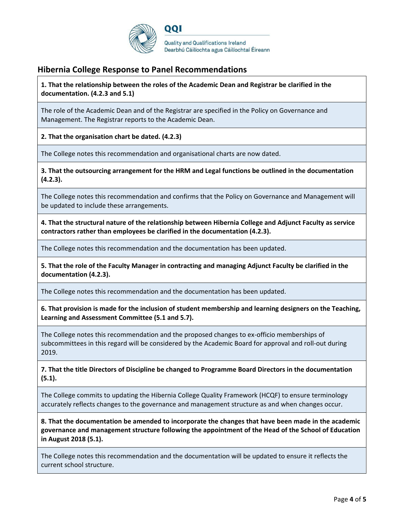

# **Hibernia College Response to Panel Recommendations**

**1. That the relationship between the roles of the Academic Dean and Registrar be clarified in the documentation. (4.2.3 and 5.1)**

The role of the Academic Dean and of the Registrar are specified in the Policy on Governance and Management. The Registrar reports to the Academic Dean.

**2. That the organisation chart be dated. (4.2.3)**

The College notes this recommendation and organisational charts are now dated.

**3. That the outsourcing arrangement for the HRM and Legal functions be outlined in the documentation (4.2.3).**

The College notes this recommendation and confirms that the Policy on Governance and Management will be updated to include these arrangements.

**4. That the structural nature of the relationship between Hibernia College and Adjunct Faculty as service contractors rather than employees be clarified in the documentation (4.2.3).**

The College notes this recommendation and the documentation has been updated.

**5. That the role of the Faculty Manager in contracting and managing Adjunct Faculty be clarified in the documentation (4.2.3).**

The College notes this recommendation and the documentation has been updated.

**6. That provision is made for the inclusion of student membership and learning designers on the Teaching, Learning and Assessment Committee (5.1 and 5.7).**

The College notes this recommendation and the proposed changes to ex-officio memberships of subcommittees in this regard will be considered by the Academic Board for approval and roll-out during 2019.

**7. That the title Directors of Discipline be changed to Programme Board Directors in the documentation (5.1).**

The College commits to updating the Hibernia College Quality Framework (HCQF) to ensure terminology accurately reflects changes to the governance and management structure as and when changes occur.

**8. That the documentation be amended to incorporate the changes that have been made in the academic governance and management structure following the appointment of the Head of the School of Education in August 2018 (5.1).**

The College notes this recommendation and the documentation will be updated to ensure it reflects the current school structure.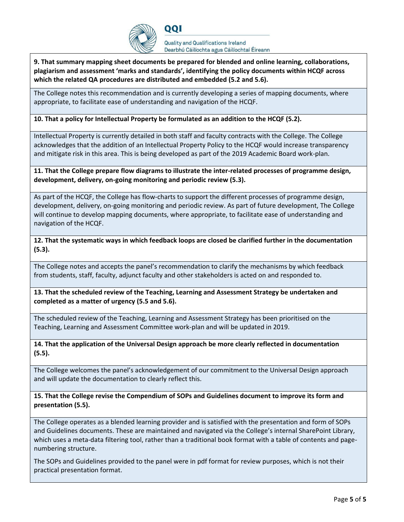

**9. That summary mapping sheet documents be prepared for blended and online learning, collaborations, plagiarism and assessment 'marks and standards', identifying the policy documents within HCQF across which the related QA procedures are distributed and embedded (5.2 and 5.6).**

The College notes this recommendation and is currently developing a series of mapping documents, where appropriate, to facilitate ease of understanding and navigation of the HCQF.

**10. That a policy for Intellectual Property be formulated as an addition to the HCQF (5.2).**

DOI

Intellectual Property is currently detailed in both staff and faculty contracts with the College. The College acknowledges that the addition of an Intellectual Property Policy to the HCQF would increase transparency and mitigate risk in this area. This is being developed as part of the 2019 Academic Board work-plan.

**11. That the College prepare flow diagrams to illustrate the inter-related processes of programme design, development, delivery, on-going monitoring and periodic review (5.3).**

As part of the HCQF, the College has flow-charts to support the different processes of programme design, development, delivery, on-going monitoring and periodic review. As part of future development, The College will continue to develop mapping documents, where appropriate, to facilitate ease of understanding and navigation of the HCQF.

**12. That the systematic ways in which feedback loops are closed be clarified further in the documentation (5.3).**

The College notes and accepts the panel's recommendation to clarify the mechanisms by which feedback from students, staff, faculty, adjunct faculty and other stakeholders is acted on and responded to.

**13. That the scheduled review of the Teaching, Learning and Assessment Strategy be undertaken and completed as a matter of urgency (5.5 and 5.6).**

The scheduled review of the Teaching, Learning and Assessment Strategy has been prioritised on the Teaching, Learning and Assessment Committee work-plan and will be updated in 2019.

**14. That the application of the Universal Design approach be more clearly reflected in documentation (5.5).**

The College welcomes the panel's acknowledgement of our commitment to the Universal Design approach and will update the documentation to clearly reflect this.

**15. That the College revise the Compendium of SOPs and Guidelines document to improve its form and presentation (5.5).**

The College operates as a blended learning provider and is satisfied with the presentation and form of SOPs and Guidelines documents. These are maintained and navigated via the College's internal SharePoint Library, which uses a meta-data filtering tool, rather than a traditional book format with a table of contents and pagenumbering structure.

The SOPs and Guidelines provided to the panel were in pdf format for review purposes, which is not their practical presentation format.